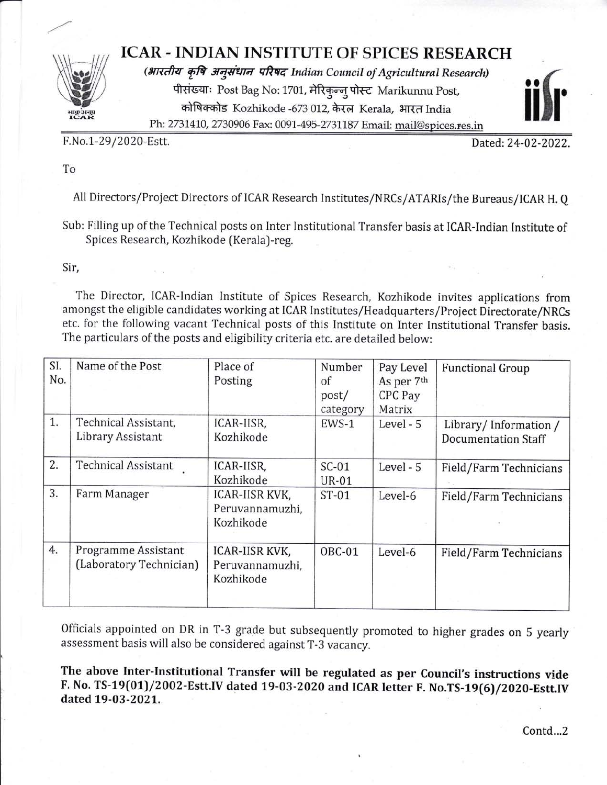

## **ICAR - INDIAN INSTITUTE OF SPICES RESEARCH**

(भारतीय कृषि अनुसंधान परिषद Indian Council of Agricultural Research) पीसंख्याः Post Bag No: 1701, मेरिकुन्न् पोस्ट Marikunnu Post, कोषिक्कोड Kozhikode -673 012, केरल Kerala, भारत India Ph: 2731410, 2730906 Fax: 0091-495-2731187 Email: mail@spices.res.in



F.No.1-29/2020-Estt.

Dated: 24-02-2022.

To

All Directors/Project Directors of ICAR Research Institutes/NRCs/ATARIs/the Bureaus/ICAR H. Q

Sub: Filling up of the Technical posts on Inter Institutional Transfer basis at ICAR-Indian Institute of Spices Research, Kozhikode (Kerala)-reg.

Sir,

The Director, ICAR-Indian Institute of Spices Research, Kozhikode invites applications from amongst the eligible candidates working at ICAR Institutes/Headquarters/Project Directorate/NRCs etc. for the following vacant Technical posts of this Institute on Inter Institutional Transfer basis. The particulars of the posts and eligibility criteria etc. are detailed below:

| SI.<br>No. | Name of the Post                               | Place of<br>Posting                            | Number<br>of<br>post/<br>category | Pay Level<br>As per 7th<br>CPC Pay<br>Matrix | <b>Functional Group</b>                            |
|------------|------------------------------------------------|------------------------------------------------|-----------------------------------|----------------------------------------------|----------------------------------------------------|
| 1.         | Technical Assistant,<br>Library Assistant      | ICAR-IISR,<br>Kozhikode                        | EWS-1                             | Level - 5                                    | Library/Information/<br><b>Documentation Staff</b> |
| 2.         | <b>Technical Assistant</b>                     | ICAR-IISR,<br>Kozhikode                        | $SC-01$<br><b>UR-01</b>           | Level - 5                                    | Field/Farm Technicians                             |
| 3.         | Farm Manager                                   | ICAR-IISR KVK,<br>Peruvannamuzhi,<br>Kozhikode | $ST-01$                           | Level-6                                      | Field/Farm Technicians                             |
| 4.         | Programme Assistant<br>(Laboratory Technician) | ICAR-IISR KVK,<br>Peruvannamuzhi,<br>Kozhikode | OBC-01                            | Level-6                                      | Field/Farm Technicians                             |

Officials appointed on DR in T-3 grade but subsequently promoted to higher grades on 5 yearly assessment basis will also be considered against T-3 vacancy.

The above Inter-Institutional Transfer will be regulated as per Council's instructions vide F. No. TS-19(01)/2002-Estt.IV dated 19-03-2020 and ICAR letter F. No.TS-19(6)/2020-Estt.IV dated 19-03-2021.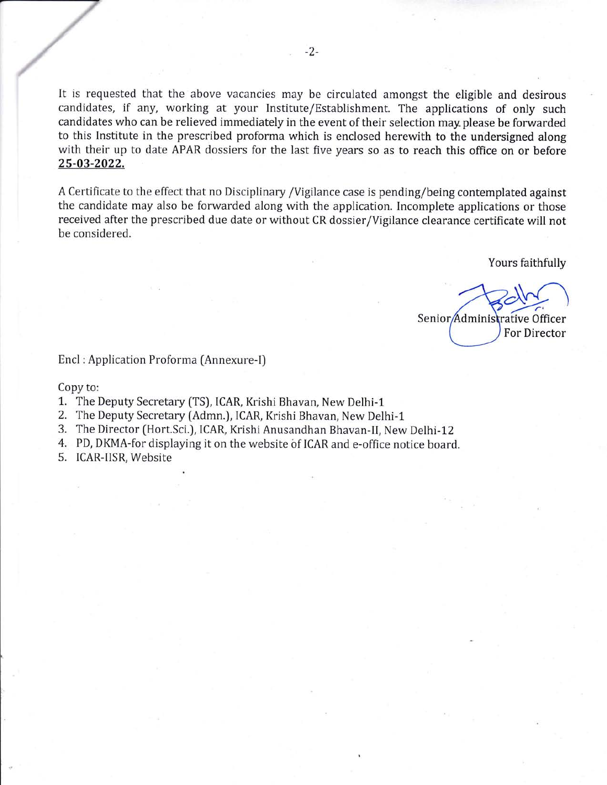It is requested that the above vacancies may be circulated amongst the eligible and desirous candidates, if any, working at your Institute/Establishment. The applications of only such candidates who can be relieved immediately in the event of their selection may- please be forwarded to this Institute in the prescribed proforma which is enclosed herewith to the undersigned along with their up to date APAR dossiers for the last five years so as to reach this office on or before 25-A3-2022.

A Certificate to the effect that no Disciplinary /Vigilance case is pending/being contemplated against the candidate may also be forwarded along with the application. Incomplete applications or those received after the prescribed due date or without CR dossier/Vigilance clearance certificate will not be considered.

Yours faithfully

 $rac{1}{2}$ Senior/Administrative Officer For Director

Encl : Application Proforma [Annexure-l)

Copy to:

- 1. The Deputy Secretary (TS), ICAR, Krishi Bhavan, New Delhi-1
- 2. The Deputy Secretary (Admn.), ICAR, Krishi Bhavan, New Delhi-1
- 3. The Director [Hort.Sci.), ICAR, Krishi Anusandhan Bhavan-ll, New Delhi-12
- 4. PD, DKMA-for displaying it on the website of ICAR and e-office notice board.

5. ICAR-llSR, Website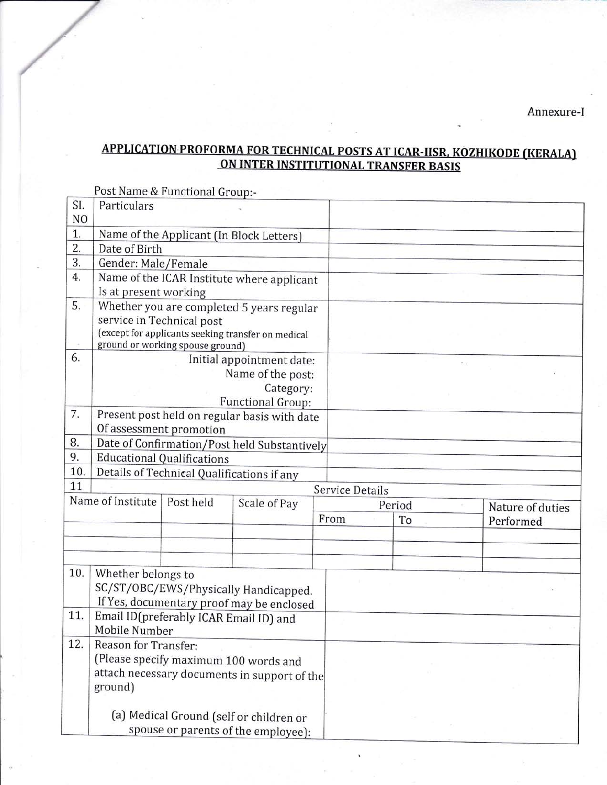Annexure-I

## **APPLICATION PROFORMA FOR TECHNICAL POSTS AT ICAR-IISR, KOZHIKODE (KERALA)** ON INTER INSTITUTIONAL TRANSFER BASIS

Post Name & Functional Group:-

| SI.                  | Particulars                                                                         |                   |                                            |                        |  |    |                  |           |  |  |
|----------------------|-------------------------------------------------------------------------------------|-------------------|--------------------------------------------|------------------------|--|----|------------------|-----------|--|--|
| N <sub>O</sub><br>1. |                                                                                     |                   |                                            |                        |  |    |                  |           |  |  |
| 2.                   | Name of the Applicant (In Block Letters)<br>Date of Birth                           |                   |                                            |                        |  |    |                  |           |  |  |
| 3.                   |                                                                                     |                   |                                            |                        |  |    |                  |           |  |  |
| 4.                   | Gender: Male/Female                                                                 |                   |                                            |                        |  |    |                  |           |  |  |
|                      | Name of the ICAR Institute where applicant<br>Is at present working                 |                   |                                            |                        |  |    |                  |           |  |  |
| 5.                   |                                                                                     |                   |                                            |                        |  |    |                  |           |  |  |
|                      | Whether you are completed 5 years regular<br>service in Technical post              |                   |                                            |                        |  |    |                  |           |  |  |
|                      | (except for applicants seeking transfer on medical                                  |                   |                                            |                        |  |    |                  |           |  |  |
|                      | ground or working spouse ground)                                                    |                   |                                            |                        |  |    |                  |           |  |  |
| 6.                   |                                                                                     |                   | Initial appointment date:                  |                        |  |    |                  |           |  |  |
|                      |                                                                                     | Name of the post: |                                            |                        |  |    |                  |           |  |  |
|                      | Category:                                                                           |                   |                                            |                        |  |    |                  |           |  |  |
|                      | Functional Group:                                                                   |                   |                                            |                        |  |    |                  |           |  |  |
| 7.                   | Present post held on regular basis with date                                        |                   |                                            |                        |  |    |                  |           |  |  |
|                      | Of assessment promotion                                                             |                   |                                            |                        |  |    |                  |           |  |  |
| 8.                   | Date of Confirmation/Post held Substantively                                        |                   |                                            |                        |  |    |                  |           |  |  |
| 9.                   | <b>Educational Qualifications</b>                                                   |                   |                                            |                        |  |    |                  |           |  |  |
| 10.                  |                                                                                     |                   | Details of Technical Qualifications if any |                        |  |    |                  |           |  |  |
| 11                   |                                                                                     |                   |                                            | <b>Service Details</b> |  |    |                  |           |  |  |
|                      | Name of Institute<br>Post held<br>Scale of Pay                                      |                   |                                            | Period                 |  |    | Nature of duties |           |  |  |
|                      |                                                                                     |                   |                                            | From                   |  | To |                  | Performed |  |  |
|                      |                                                                                     |                   |                                            |                        |  |    |                  |           |  |  |
|                      |                                                                                     |                   |                                            |                        |  |    |                  |           |  |  |
| 10.                  | Whether belongs to                                                                  |                   |                                            |                        |  |    |                  |           |  |  |
|                      |                                                                                     |                   | SC/ST/OBC/EWS/Physically Handicapped.      |                        |  |    |                  |           |  |  |
|                      |                                                                                     |                   |                                            |                        |  |    |                  |           |  |  |
| 11.                  | If Yes, documentary proof may be enclosed<br>Email ID(preferably ICAR Email ID) and |                   |                                            |                        |  |    |                  |           |  |  |
|                      | Mobile Number                                                                       |                   |                                            |                        |  |    |                  |           |  |  |
| 12.                  | Reason for Transfer:                                                                |                   |                                            |                        |  |    |                  |           |  |  |
|                      | (Please specify maximum 100 words and                                               |                   |                                            |                        |  |    |                  |           |  |  |
|                      | attach necessary documents in support of the<br>ground)                             |                   |                                            |                        |  |    |                  |           |  |  |
|                      |                                                                                     |                   |                                            |                        |  |    |                  |           |  |  |
|                      |                                                                                     |                   |                                            |                        |  |    |                  |           |  |  |
|                      | (a) Medical Ground (self or children or                                             |                   |                                            |                        |  |    |                  |           |  |  |
|                      | spouse or parents of the employee):                                                 |                   |                                            |                        |  |    |                  |           |  |  |